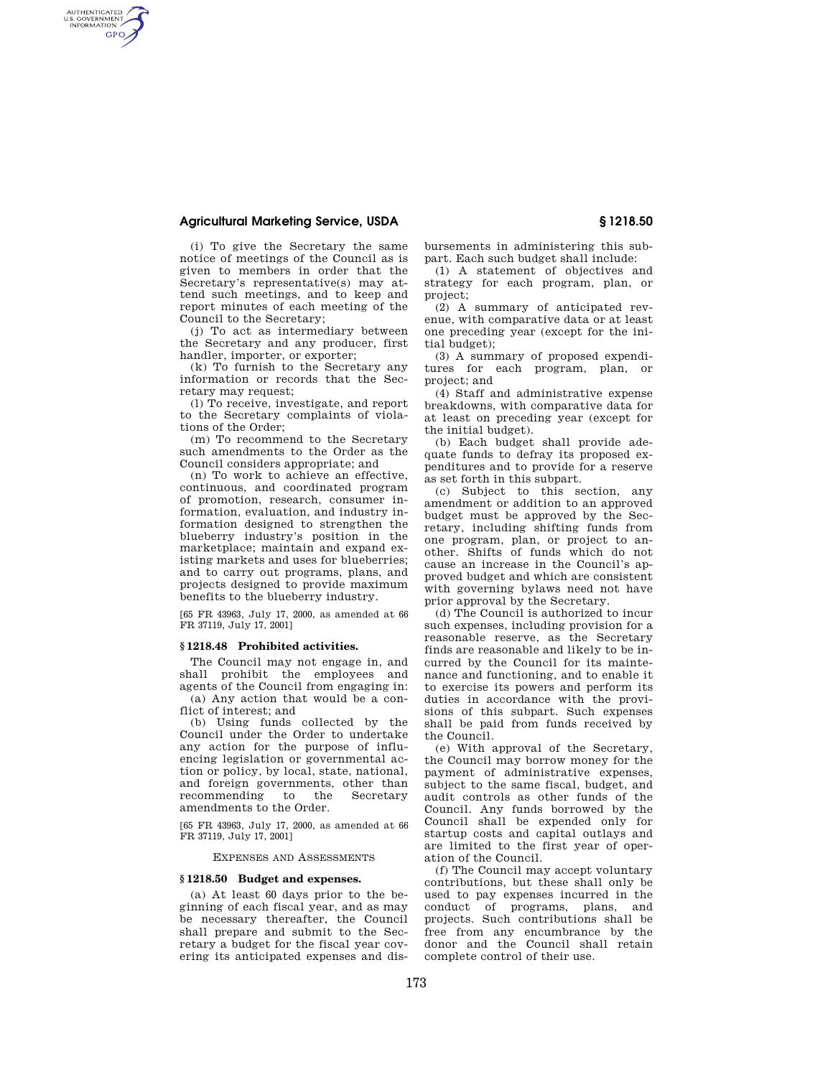## **Agricultural Marketing Service, USDA § 1218.50**

AUTHENTICATED<br>U.S. GOVERNMENT<br>INFORMATION **GPO** 

> (i) To give the Secretary the same notice of meetings of the Council as is given to members in order that the Secretary's representative(s) may attend such meetings, and to keep and report minutes of each meeting of the Council to the Secretary;

(j) To act as intermediary between the Secretary and any producer, first handler, importer, or exporter;

(k) To furnish to the Secretary any information or records that the Secretary may request;

(l) To receive, investigate, and report to the Secretary complaints of violations of the Order;

(m) To recommend to the Secretary such amendments to the Order as the Council considers appropriate; and

(n) To work to achieve an effective, continuous, and coordinated program of promotion, research, consumer information, evaluation, and industry information designed to strengthen the blueberry industry's position in the marketplace; maintain and expand existing markets and uses for blueberries; and to carry out programs, plans, and projects designed to provide maximum benefits to the blueberry industry.

[65 FR 43963, July 17, 2000, as amended at 66 FR 37119, July 17, 2001]

### **§ 1218.48 Prohibited activities.**

The Council may not engage in, and shall prohibit the employees and agents of the Council from engaging in: (a) Any action that would be a con-

flict of interest; and (b) Using funds collected by the

Council under the Order to undertake any action for the purpose of influencing legislation or governmental action or policy, by local, state, national, and foreign governments, other than recommending to the Secretary amendments to the Order.

[65 FR 43963, July 17, 2000, as amended at 66 FR 37119, July 17, 2001]

EXPENSES AND ASSESSMENTS

#### **§ 1218.50 Budget and expenses.**

(a) At least 60 days prior to the beginning of each fiscal year, and as may be necessary thereafter, the Council shall prepare and submit to the Secretary a budget for the fiscal year covering its anticipated expenses and disbursements in administering this subpart. Each such budget shall include:

(1) A statement of objectives and strategy for each program, plan, or project;

(2) A summary of anticipated revenue, with comparative data or at least one preceding year (except for the initial budget);

(3) A summary of proposed expenditures for each program, plan, or project; and

(4) Staff and administrative expense breakdowns, with comparative data for at least on preceding year (except for the initial budget).

(b) Each budget shall provide adequate funds to defray its proposed expenditures and to provide for a reserve as set forth in this subpart.

(c) Subject to this section, any amendment or addition to an approved budget must be approved by the Secretary, including shifting funds from one program, plan, or project to another. Shifts of funds which do not cause an increase in the Council's approved budget and which are consistent with governing bylaws need not have prior approval by the Secretary.

(d) The Council is authorized to incur such expenses, including provision for a reasonable reserve, as the Secretary finds are reasonable and likely to be incurred by the Council for its maintenance and functioning, and to enable it to exercise its powers and perform its duties in accordance with the provisions of this subpart. Such expenses shall be paid from funds received by the Council.

(e) With approval of the Secretary, the Council may borrow money for the payment of administrative expenses, subject to the same fiscal, budget, and audit controls as other funds of the Council. Any funds borrowed by the Council shall be expended only for startup costs and capital outlays and are limited to the first year of operation of the Council.

(f) The Council may accept voluntary contributions, but these shall only be used to pay expenses incurred in the conduct of programs, plans, and projects. Such contributions shall be free from any encumbrance by the donor and the Council shall retain complete control of their use.